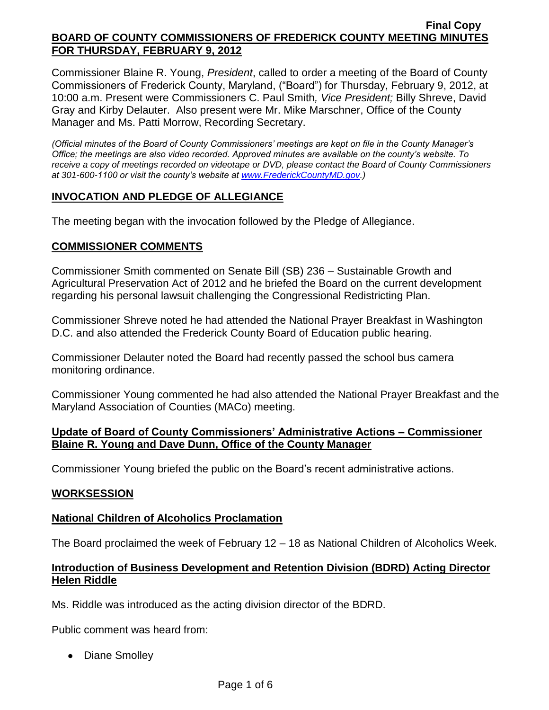Commissioner Blaine R. Young, *President*, called to order a meeting of the Board of County Commissioners of Frederick County, Maryland, ("Board") for Thursday, February 9, 2012, at 10:00 a.m. Present were Commissioners C. Paul Smith*, Vice President;* Billy Shreve, David Gray and Kirby Delauter. Also present were Mr. Mike Marschner, Office of the County Manager and Ms. Patti Morrow, Recording Secretary.

*(Official minutes of the Board of County Commissioners' meetings are kept on file in the County Manager's Office; the meetings are also video recorded. Approved minutes are available on the county's website. To receive a copy of meetings recorded on videotape or DVD, please contact the Board of County Commissioners at 301-600-1100 or visit the county's website at [www.FrederickCountyMD.gov.](http://www.frederickcountymd.gov/))*

# **INVOCATION AND PLEDGE OF ALLEGIANCE**

The meeting began with the invocation followed by the Pledge of Allegiance.

# **COMMISSIONER COMMENTS**

Commissioner Smith commented on Senate Bill (SB) 236 – Sustainable Growth and Agricultural Preservation Act of 2012 and he briefed the Board on the current development regarding his personal lawsuit challenging the Congressional Redistricting Plan.

Commissioner Shreve noted he had attended the National Prayer Breakfast in Washington D.C. and also attended the Frederick County Board of Education public hearing.

Commissioner Delauter noted the Board had recently passed the school bus camera monitoring ordinance.

Commissioner Young commented he had also attended the National Prayer Breakfast and the Maryland Association of Counties (MACo) meeting.

### **Update of Board of County Commissioners' Administrative Actions – Commissioner Blaine R. Young and Dave Dunn, Office of the County Manager**

Commissioner Young briefed the public on the Board's recent administrative actions.

### **WORKSESSION**

### **National Children of Alcoholics Proclamation**

The Board proclaimed the week of February 12 – 18 as National Children of Alcoholics Week.

### **Introduction of Business Development and Retention Division (BDRD) Acting Director Helen Riddle**

Ms. Riddle was introduced as the acting division director of the BDRD.

Public comment was heard from:

• Diane Smolley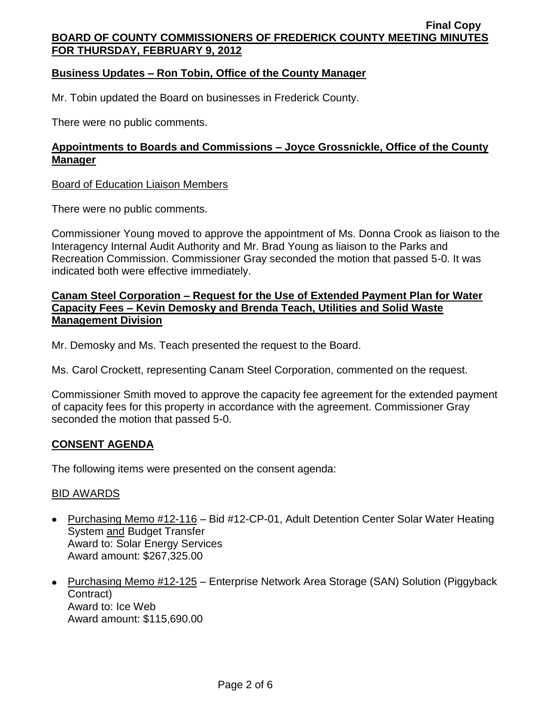# **Business Updates – Ron Tobin, Office of the County Manager**

Mr. Tobin updated the Board on businesses in Frederick County.

There were no public comments.

# **Appointments to Boards and Commissions – Joyce Grossnickle, Office of the County Manager**

#### Board of Education Liaison Members

There were no public comments.

Commissioner Young moved to approve the appointment of Ms. Donna Crook as liaison to the Interagency Internal Audit Authority and Mr. Brad Young as liaison to the Parks and Recreation Commission. Commissioner Gray seconded the motion that passed 5-0. It was indicated both were effective immediately.

#### **Canam Steel Corporation – Request for the Use of Extended Payment Plan for Water Capacity Fees – Kevin Demosky and Brenda Teach, Utilities and Solid Waste Management Division**

Mr. Demosky and Ms. Teach presented the request to the Board.

Ms. Carol Crockett, representing Canam Steel Corporation, commented on the request.

Commissioner Smith moved to approve the capacity fee agreement for the extended payment of capacity fees for this property in accordance with the agreement. Commissioner Gray seconded the motion that passed 5-0.

### **CONSENT AGENDA**

The following items were presented on the consent agenda:

#### BID AWARDS

- Purchasing Memo #12-116 Bid #12-CP-01, Adult Detention Center Solar Water Heating System and Budget Transfer Award to: Solar Energy Services Award amount: \$267,325.00
- Purchasing Memo #12-125 Enterprise Network Area Storage (SAN) Solution (Piggyback Contract) Award to: Ice Web Award amount: \$115,690.00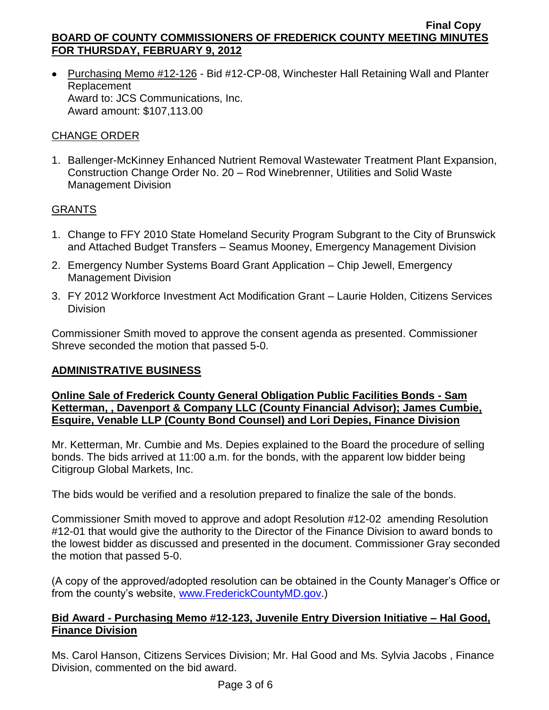Purchasing Memo #12-126 - Bid #12-CP-08, Winchester Hall Retaining Wall and Planter Replacement Award to: JCS Communications, Inc. Award amount: \$107,113.00

# CHANGE ORDER

1. Ballenger-McKinney Enhanced Nutrient Removal Wastewater Treatment Plant Expansion, Construction Change Order No. 20 – Rod Winebrenner, Utilities and Solid Waste Management Division

# GRANTS

- 1. Change to FFY 2010 State Homeland Security Program Subgrant to the City of Brunswick and Attached Budget Transfers – Seamus Mooney, Emergency Management Division
- 2. Emergency Number Systems Board Grant Application Chip Jewell, Emergency Management Division
- 3. FY 2012 Workforce Investment Act Modification Grant Laurie Holden, Citizens Services Division

Commissioner Smith moved to approve the consent agenda as presented. Commissioner Shreve seconded the motion that passed 5-0.

### **ADMINISTRATIVE BUSINESS**

#### **Online Sale of Frederick County General Obligation Public Facilities Bonds - Sam Ketterman, , Davenport & Company LLC (County Financial Advisor); James Cumbie, Esquire, Venable LLP (County Bond Counsel) and Lori Depies, Finance Division**

Mr. Ketterman, Mr. Cumbie and Ms. Depies explained to the Board the procedure of selling bonds. The bids arrived at 11:00 a.m. for the bonds, with the apparent low bidder being Citigroup Global Markets, Inc.

The bids would be verified and a resolution prepared to finalize the sale of the bonds.

Commissioner Smith moved to approve and adopt Resolution #12-02 amending Resolution #12-01 that would give the authority to the Director of the Finance Division to award bonds to the lowest bidder as discussed and presented in the document. Commissioner Gray seconded the motion that passed 5-0.

(A copy of the approved/adopted resolution can be obtained in the County Manager's Office or from the county's website, [www.FrederickCountyMD.gov.](http://www.frederickcountymd.gov/))

### **Bid Award - Purchasing Memo #12-123, Juvenile Entry Diversion Initiative – Hal Good, Finance Division**

Ms. Carol Hanson, Citizens Services Division; Mr. Hal Good and Ms. Sylvia Jacobs , Finance Division, commented on the bid award.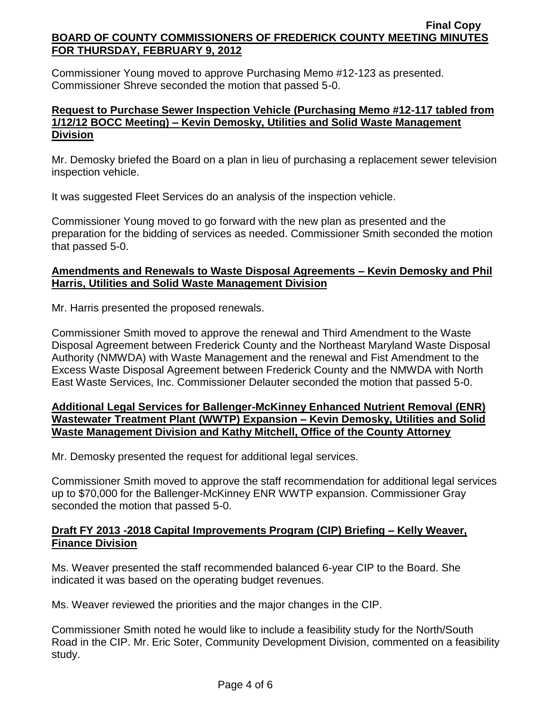Commissioner Young moved to approve Purchasing Memo #12-123 as presented. Commissioner Shreve seconded the motion that passed 5-0.

## **Request to Purchase Sewer Inspection Vehicle (Purchasing Memo #12-117 tabled from 1/12/12 BOCC Meeting) – Kevin Demosky, Utilities and Solid Waste Management Division**

Mr. Demosky briefed the Board on a plan in lieu of purchasing a replacement sewer television inspection vehicle.

It was suggested Fleet Services do an analysis of the inspection vehicle.

Commissioner Young moved to go forward with the new plan as presented and the preparation for the bidding of services as needed. Commissioner Smith seconded the motion that passed 5-0.

# **Amendments and Renewals to Waste Disposal Agreements – Kevin Demosky and Phil Harris, Utilities and Solid Waste Management Division**

Mr. Harris presented the proposed renewals.

Commissioner Smith moved to approve the renewal and Third Amendment to the Waste Disposal Agreement between Frederick County and the Northeast Maryland Waste Disposal Authority (NMWDA) with Waste Management and the renewal and Fist Amendment to the Excess Waste Disposal Agreement between Frederick County and the NMWDA with North East Waste Services, Inc. Commissioner Delauter seconded the motion that passed 5-0.

### **Additional Legal Services for Ballenger-McKinney Enhanced Nutrient Removal (ENR) Wastewater Treatment Plant (WWTP) Expansion – Kevin Demosky, Utilities and Solid Waste Management Division and Kathy Mitchell, Office of the County Attorney**

Mr. Demosky presented the request for additional legal services.

Commissioner Smith moved to approve the staff recommendation for additional legal services up to \$70,000 for the Ballenger-McKinney ENR WWTP expansion. Commissioner Gray seconded the motion that passed 5-0.

### **Draft FY 2013 -2018 Capital Improvements Program (CIP) Briefing – Kelly Weaver, Finance Division**

Ms. Weaver presented the staff recommended balanced 6-year CIP to the Board. She indicated it was based on the operating budget revenues.

Ms. Weaver reviewed the priorities and the major changes in the CIP.

Commissioner Smith noted he would like to include a feasibility study for the North/South Road in the CIP. Mr. Eric Soter, Community Development Division, commented on a feasibility study.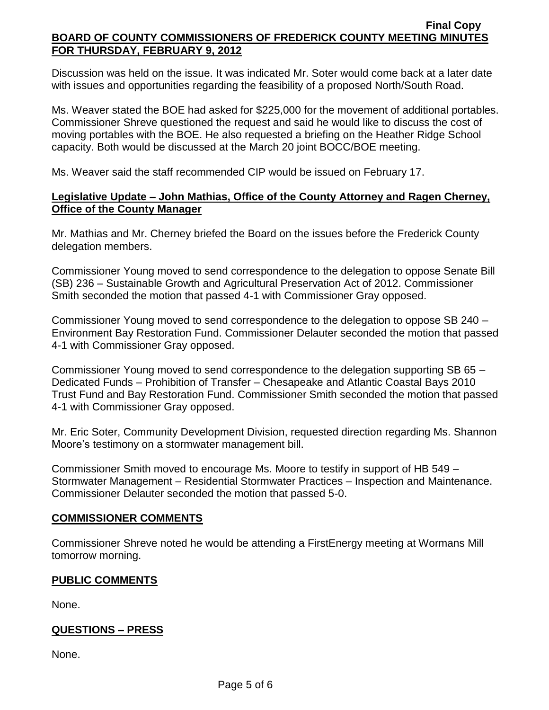Discussion was held on the issue. It was indicated Mr. Soter would come back at a later date with issues and opportunities regarding the feasibility of a proposed North/South Road.

Ms. Weaver stated the BOE had asked for \$225,000 for the movement of additional portables. Commissioner Shreve questioned the request and said he would like to discuss the cost of moving portables with the BOE. He also requested a briefing on the Heather Ridge School capacity. Both would be discussed at the March 20 joint BOCC/BOE meeting.

Ms. Weaver said the staff recommended CIP would be issued on February 17.

# **Legislative Update – John Mathias, Office of the County Attorney and Ragen Cherney, Office of the County Manager**

Mr. Mathias and Mr. Cherney briefed the Board on the issues before the Frederick County delegation members.

Commissioner Young moved to send correspondence to the delegation to oppose Senate Bill (SB) 236 – Sustainable Growth and Agricultural Preservation Act of 2012. Commissioner Smith seconded the motion that passed 4-1 with Commissioner Gray opposed.

Commissioner Young moved to send correspondence to the delegation to oppose SB 240 – Environment Bay Restoration Fund. Commissioner Delauter seconded the motion that passed 4-1 with Commissioner Gray opposed.

Commissioner Young moved to send correspondence to the delegation supporting SB 65 – Dedicated Funds – Prohibition of Transfer – Chesapeake and Atlantic Coastal Bays 2010 Trust Fund and Bay Restoration Fund. Commissioner Smith seconded the motion that passed 4-1 with Commissioner Gray opposed.

Mr. Eric Soter, Community Development Division, requested direction regarding Ms. Shannon Moore's testimony on a stormwater management bill.

Commissioner Smith moved to encourage Ms. Moore to testify in support of HB 549 – Stormwater Management – Residential Stormwater Practices – Inspection and Maintenance. Commissioner Delauter seconded the motion that passed 5-0.

### **COMMISSIONER COMMENTS**

Commissioner Shreve noted he would be attending a FirstEnergy meeting at Wormans Mill tomorrow morning.

# **PUBLIC COMMENTS**

None.

### **QUESTIONS – PRESS**

None.